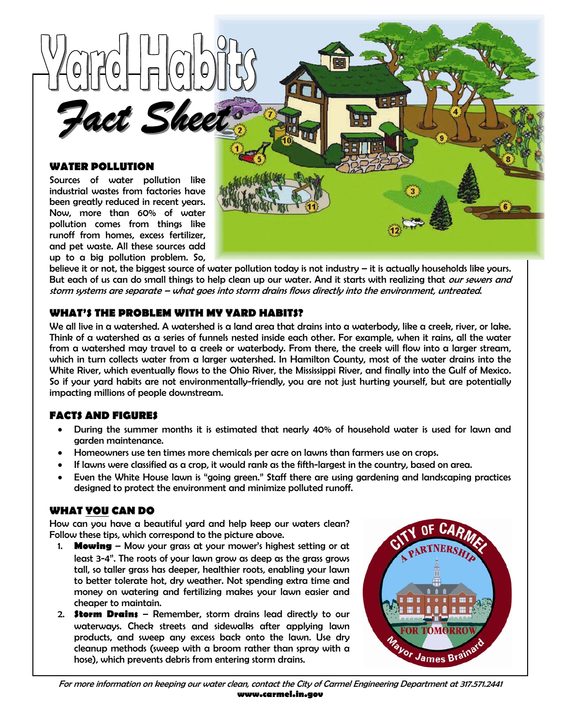

### **WATER POLLUTION**

Sources of water pollution like industrial wastes from factories have been greatly reduced in recent years. Now, more than 60% of water pollution comes from things like runoff from homes, excess fertilizer, and pet waste. All these sources add up to a big pollution problem. So,



believe it or not, the biggest source of water pollution today is not industry – it is actually households like yours. But each of us can do small things to help clean up our water. And it starts with realizing that *our sewers and* storm systems are separate – what goes into storm drains flows directly into the environment, untreated.

## **WHAT'S THE PROBLEM WITH MY YARD HABITS?**

We all live in a watershed. A watershed is a land area that drains into a waterbody, like a creek, river, or lake. Think of a watershed as a series of funnels nested inside each other. For example, when it rains, all the water from a watershed may travel to a creek or waterbody. From there, the creek will flow into a larger stream, which in turn collects water from a larger watershed. In Hamilton County, most of the water drains into the White River, which eventually flows to the Ohio River, the Mississippi River, and finally into the Gulf of Mexico. So if your yard habits are not environmentally-friendly, you are not just hurting yourself, but are potentially impacting millions of people downstream.

# **FACTS AND FIGURES**

- During the summer months it is estimated that nearly 40% of household water is used for lawn and garden maintenance.
- Homeowners use ten times more chemicals per acre on lawns than farmers use on crops.
- If lawns were classified as a crop, it would rank as the fifth-largest in the country, based on area.
- Even the White House lawn is "going green." Staff there are using gardening and landscaping practices designed to protect the environment and minimize polluted runoff.

### **WHAT YOU CAN DO**

How can you have a beautiful yard and help keep our waters clean? Follow these tips, which correspond to the picture above.

- 1. **Mowing** Mow your grass at your mower's highest setting or at least 3-4". The roots of your lawn grow as deep as the grass grows tall, so taller grass has deeper, healthier roots, enabling your lawn to better tolerate hot, dry weather. Not spending extra time and money on watering and fertilizing makes your lawn easier and cheaper to maintain.
- 2. **Storm Drains** Remember, storm drains lead directly to our waterways. Check streets and sidewalks after applying lawn products, and sweep any excess back onto the lawn. Use dry cleanup methods (sweep with a broom rather than spray with a hose), which prevents debris from entering storm drains.



For more information on keeping our water clean, contact the City of Carmel Engineering Department at 317.571.2441 **www.carmel.in.gov**